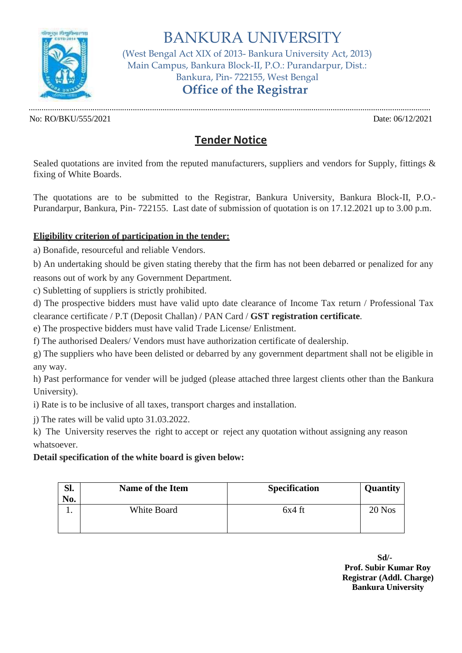

BANKURA UNIVERSITY (West Bengal Act XIX of 2013- Bankura University Act, 2013) Main Campus, Bankura Block-II, P.O.: Purandarpur, Dist.: Bankura, Pin- 722155, West Bengal **Office of the Registrar**

No: RO/BKU/555/2021 Date: 06/12/2021

.............................................................................................................................................................................................

## **Tender Notice**

Sealed quotations are invited from the reputed manufacturers, suppliers and vendors for Supply, fittings  $\&$ fixing of White Boards.

The quotations are to be submitted to the Registrar, Bankura University, Bankura Block-II, P.O.- Purandarpur, Bankura, Pin- 722155. Last date of submission of quotation is on 17.12.2021 up to 3.00 p.m.

## **Eligibility criterion of participation in the tender:**

a) Bonafide, resourceful and reliable Vendors.

b) An undertaking should be given stating thereby that the firm has not been debarred or penalized for any reasons out of work by any Government Department.

c) Subletting of suppliers is strictly prohibited.

d) The prospective bidders must have valid upto date clearance of Income Tax return / Professional Tax clearance certificate / P.T (Deposit Challan) / PAN Card / **GST registration certificate**.

e) The prospective bidders must have valid Trade License/ Enlistment.

f) The authorised Dealers/ Vendors must have authorization certificate of dealership.

g) The suppliers who have been delisted or debarred by any government department shall not be eligible in any way.

h) Past performance for vender will be judged (please attached three largest clients other than the Bankura University).

i) Rate is to be inclusive of all taxes, transport charges and installation.

j) The rates will be valid upto 31.03.2022.

k) The University reserves the right to accept or reject any quotation without assigning any reason whatsoever.

## **Detail specification of the white board is given below:**

| Sl.<br>No. | <b>Name of the Item</b> | <b>Specification</b> | Quantity |
|------------|-------------------------|----------------------|----------|
|            | White Board             | $6x4$ ft             | 20 Nos   |

**Sd/- Prof. Subir Kumar Roy Registrar (Addl. Charge) Bankura University**